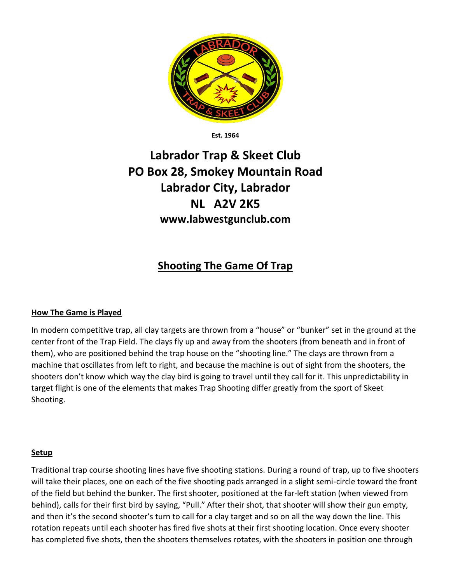

**Est. 1964**

# **Labrador Trap & Skeet Club PO Box 28, Smokey Mountain Road Labrador City, Labrador NL A2V 2K5 www.labwestgunclub.com**

## **Shooting The Game Of Trap**

#### **How The Game is Played**

In modern competitive trap, all clay targets are thrown from a "house" or "bunker" set in the ground at the center front of the Trap Field. The clays fly up and away from the shooters (from beneath and in front of them), who are positioned behind the trap house on the "shooting line." The clays are thrown from a machine that oscillates from left to right, and because the machine is out of sight from the shooters, the shooters don't know which way the clay bird is going to travel until they call for it. This unpredictability in target flight is one of the elements that makes Trap Shooting differ greatly from the sport of Skeet Shooting.

#### **Setup**

Traditional trap course shooting lines have five shooting stations. During a round of trap, up to five shooters will take their places, one on each of the five shooting pads arranged in a slight semi-circle toward the front of the field but behind the bunker. The first shooter, positioned at the far-left station (when viewed from behind), calls for their first bird by saying, "Pull." After their shot, that shooter will show their gun empty, and then it's the second shooter's turn to call for a clay target and so on all the way down the line. This rotation repeats until each shooter has fired five shots at their first shooting location. Once every shooter has completed five shots, then the shooters themselves rotates, with the shooters in position one through